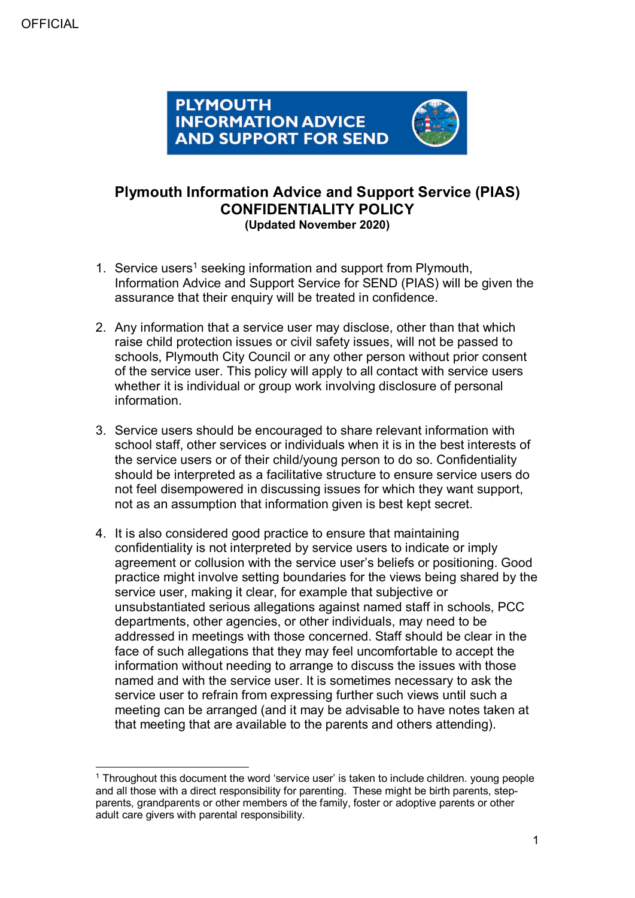**OFFICIAL** 



# **Plymouth Information Advice and Support Service (PIAS) CONFIDENTIALITY POLICY (Updated November 2020)**

- [1](#page-0-0). Service users<sup>1</sup> seeking information and support from Plymouth, Information Advice and Support Service for SEND (PIAS) will be given the assurance that their enquiry will be treated in confidence.
- 2. Any information that a service user may disclose, other than that which raise child protection issues or civil safety issues, will not be passed to schools, Plymouth City Council or any other person without prior consent of the service user. This policy will apply to all contact with service users whether it is individual or group work involving disclosure of personal information.
- 3. Service users should be encouraged to share relevant information with school staff, other services or individuals when it is in the best interests of the service users or of their child/young person to do so. Confidentiality should be interpreted as a facilitative structure to ensure service users do not feel disempowered in discussing issues for which they want support, not as an assumption that information given is best kept secret.
- 4. It is also considered good practice to ensure that maintaining confidentiality is not interpreted by service users to indicate or imply agreement or collusion with the service user's beliefs or positioning. Good practice might involve setting boundaries for the views being shared by the service user, making it clear, for example that subjective or unsubstantiated serious allegations against named staff in schools, PCC departments, other agencies, or other individuals, may need to be addressed in meetings with those concerned. Staff should be clear in the face of such allegations that they may feel uncomfortable to accept the information without needing to arrange to discuss the issues with those named and with the service user. It is sometimes necessary to ask the service user to refrain from expressing further such views until such a meeting can be arranged (and it may be advisable to have notes taken at that meeting that are available to the parents and others attending).

<span id="page-0-0"></span> <sup>1</sup> Throughout this document the word 'service user' is taken to include children. young people and all those with a direct responsibility for parenting. These might be birth parents, stepparents, grandparents or other members of the family, foster or adoptive parents or other adult care givers with parental responsibility.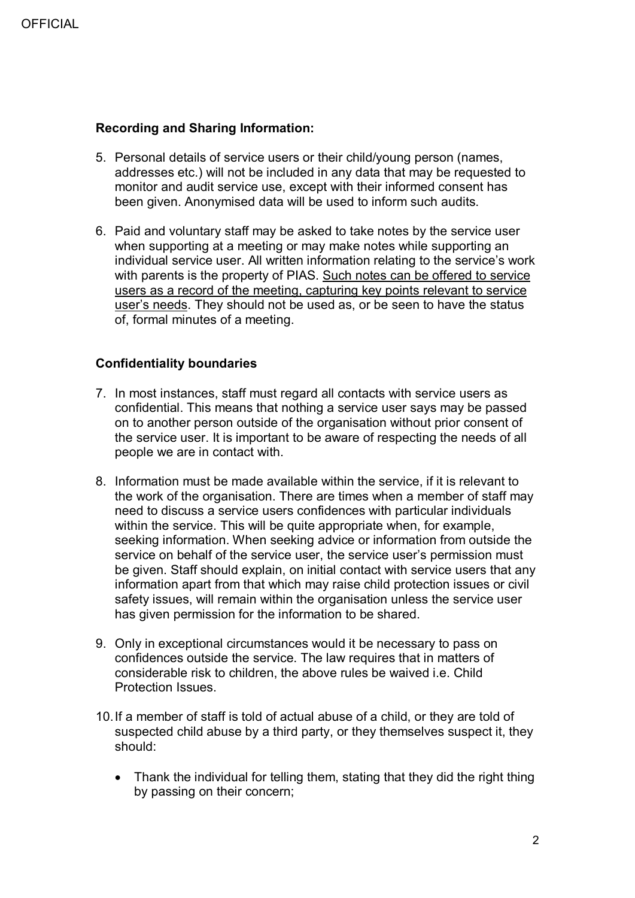## **Recording and Sharing Information:**

- 5. Personal details of service users or their child/young person (names, addresses etc.) will not be included in any data that may be requested to monitor and audit service use, except with their informed consent has been given. Anonymised data will be used to inform such audits.
- 6. Paid and voluntary staff may be asked to take notes by the service user when supporting at a meeting or may make notes while supporting an individual service user. All written information relating to the service's work with parents is the property of PIAS. Such notes can be offered to service users as a record of the meeting, capturing key points relevant to service user's needs. They should not be used as, or be seen to have the status of, formal minutes of a meeting.

## **Confidentiality boundaries**

- 7. In most instances, staff must regard all contacts with service users as confidential. This means that nothing a service user says may be passed on to another person outside of the organisation without prior consent of the service user. It is important to be aware of respecting the needs of all people we are in contact with.
- 8. Information must be made available within the service, if it is relevant to the work of the organisation. There are times when a member of staff may need to discuss a service users confidences with particular individuals within the service. This will be quite appropriate when, for example, seeking information. When seeking advice or information from outside the service on behalf of the service user, the service user's permission must be given. Staff should explain, on initial contact with service users that any information apart from that which may raise child protection issues or civil safety issues, will remain within the organisation unless the service user has given permission for the information to be shared.
- 9. Only in exceptional circumstances would it be necessary to pass on confidences outside the service. The law requires that in matters of considerable risk to children, the above rules be waived i.e. Child Protection Issues.
- 10.If a member of staff is told of actual abuse of a child, or they are told of suspected child abuse by a third party, or they themselves suspect it, they should:
	- Thank the individual for telling them, stating that they did the right thing by passing on their concern;